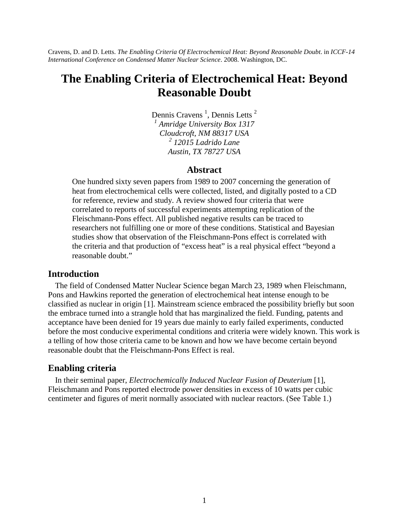Cravens, D. and D. Letts. *The Enabling Criteria Of Electrochemical Heat: Beyond Reasonable Doubt*. in *ICCF-14 International Conference on Condensed Matter Nuclear Science*. 2008. Washington, DC.

# **The Enabling Criteria of Electrochemical Heat: Beyond Reasonable Doubt**

Dennis Cravens<sup>1</sup>, Dennis Letts<sup>2</sup> *1 Amridge University Box 1317 Cloudcroft, NM 88317 USA 2 12015 Ladrido Lane Austin, TX 78727 USA*

#### **Abstract**

One hundred sixty seven papers from 1989 to 2007 concerning the generation of heat from electrochemical cells were collected, listed, and digitally posted to a CD for reference, review and study. A review showed four criteria that were correlated to reports of successful experiments attempting replication of the Fleischmann-Pons effect. All published negative results can be traced to researchers not fulfilling one or more of these conditions. Statistical and Bayesian studies show that observation of the Fleischmann-Pons effect is correlated with the criteria and that production of "excess heat" is a real physical effect "beyond a reasonable doubt."

#### **Introduction**

The field of Condensed Matter Nuclear Science began March 23, 1989 when Fleischmann, Pons and Hawkins reported the generation of electrochemical heat intense enough to be classified as nuclear in origin [1]. Mainstream science embraced the possibility briefly but soon the embrace turned into a strangle hold that has marginalized the field. Funding, patents and acceptance have been denied for 19 years due mainly to early failed experiments, conducted before the most conducive experimental conditions and criteria were widely known. This work is a telling of how those criteria came to be known and how we have become certain beyond reasonable doubt that the Fleischmann-Pons Effect is real.

#### **Enabling criteria**

In their seminal paper, *Electrochemically Induced Nuclear Fusion of Deuterium* [1], Fleischmann and Pons reported electrode power densities in excess of 10 watts per cubic centimeter and figures of merit normally associated with nuclear reactors. (See Table 1.)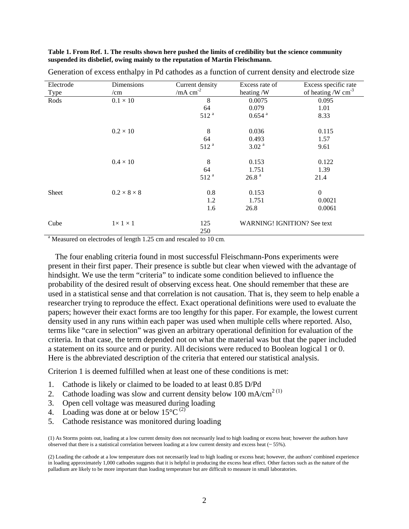**Table 1. From Ref. 1. The results shown here pushed the limits of credibility but the science community suspended its disbelief, owing mainly to the reputation of Martin Fleischmann.**

| Electrode | Dimensions              | Current density  | Excess rate of                     | Excess specific rate    |
|-----------|-------------------------|------------------|------------------------------------|-------------------------|
| Type      | /cm                     | /mA $cm^{-2}$    | heating /W                         | of heating /W $cm^{-3}$ |
| Rods      | $0.1 \times 10$         | 8                | 0.0075                             | 0.095                   |
|           |                         | 64               | 0.079                              | 1.01                    |
|           |                         | 512 <sup>a</sup> | $0.654$ <sup>a</sup>               | 8.33                    |
|           | $0.2 \times 10$         | 8                | 0.036                              | 0.115                   |
|           |                         | 64               | 0.493                              | 1.57                    |
|           |                         | 512 <sup>a</sup> | 3.02 <sup>a</sup>                  | 9.61                    |
|           | $0.4 \times 10$         | 8                | 0.153                              | 0.122                   |
|           |                         | 64               | 1.751                              | 1.39                    |
|           |                         | 512 <sup>a</sup> | 26.8 <sup>a</sup>                  | 21.4                    |
| Sheet     | $0.2 \times 8 \times 8$ | 0.8              | 0.153                              | $\boldsymbol{0}$        |
|           |                         | 1.2              | 1.751                              | 0.0021                  |
|           |                         | 1.6              | 26.8                               | 0.0061                  |
| Cube      | $1 \times 1 \times 1$   | 125<br>250       | <b>WARNING! IGNITION? See text</b> |                         |

Generation of excess enthalpy in Pd cathodes as a function of current density and electrode size

<sup>a</sup> Measured on electrodes of length 1.25 cm and rescaled to 10 cm.

The four enabling criteria found in most successful Fleischmann-Pons experiments were present in their first paper. Their presence is subtle but clear when viewed with the advantage of hindsight. We use the term "criteria" to indicate some condition believed to influence the probability of the desired result of observing excess heat. One should remember that these are used in a statistical sense and that correlation is not causation. That is, they seem to help enable a researcher trying to reproduce the effect. Exact operational definitions were used to evaluate the papers; however their exact forms are too lengthy for this paper. For example, the lowest current density used in any runs within each paper was used when multiple cells where reported. Also, terms like "care in selection" was given an arbitrary operational definition for evaluation of the criteria. In that case, the term depended not on what the material was but that the paper included a statement on its source and or purity. All decisions were reduced to Boolean logical 1 or 0. Here is the abbreviated description of the criteria that entered our statistical analysis.

Criterion 1 is deemed fulfilled when at least one of these conditions is met:

- 1. Cathode is likely or claimed to be loaded to at least 0.85 D/Pd
- 2. Cathode loading was slow and current density below 100 mA/cm<sup>2 (1)</sup>
- 3. Open cell voltage was measured during loading
- 4. Loading was done at or below  $15^{\circ}$ C<sup>(2)</sup>
- 5. Cathode resistance was monitored during loading

(1) As Storms points out, loading at a low current density does not necessarily lead to high loading or excess heat; however the authors have observed that there is a statistical correlation between loading at a low current density and excess heat (~ 55%).

(2) Loading the cathode at a low temperature does not necessarily lead to high loading or excess heat; however, the authors' combined experience in loading approximately 1,000 cathodes suggests that it is helpful in producing the excess heat effect. Other factors such as the nature of the palladium are likely to be more important than loading temperature but are difficult to measure in small laboratories.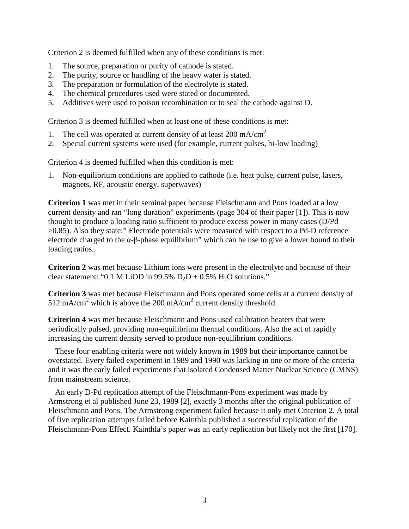Criterion 2 is deemed fulfilled when any of these conditions is met:

- 1. The source, preparation or purity of cathode is stated.
- 2. The purity, source or handling of the heavy water is stated.
- 3. The preparation or formulation of the electrolyte is stated.
- 4. The chemical procedures used were stated or documented.
- 5. Additives were used to poison recombination or to seal the cathode against D.

Criterion 3 is deemed fulfilled when at least one of these conditions is met:

- 1. The cell was operated at current density of at least  $200 \text{ mA/cm}^2$
- 2. Special current systems were used (for example, current pulses, hi-low loading)

Criterion 4 is deemed fulfilled when this condition is met:

1. Non-equilibrium conditions are applied to cathode (i.e. heat pulse, current pulse, lasers, magnets, RF, acoustic energy, superwaves)

**Criterion 1** was met in their seminal paper because Fleischmann and Pons loaded at a low current density and ran "long duration" experiments (page 304 of their paper [1]). This is now thought to produce a loading ratio sufficient to produce excess power in many cases (D/Pd >0.85). Also they state:" Electrode potentials were measured with respect to a Pd-D reference electrode charged to the  $\alpha$ - $\beta$ -phase equilibrium" which can be use to give a lower bound to their loading ratios.

**Criterion 2** was met because Lithium ions were present in the electrolyte and because of their clear statement: "0.1 M LiOD in 99.5%  $D_2O + 0.5% H_2O$  solutions."

**Criterion 3** was met because Fleischmann and Pons operated some cells at a current density of 512 mA/cm<sup>2</sup> which is above the 200 mA/cm<sup>2</sup> current density threshold.

**Criterion 4** was met because Fleischmann and Pons used calibration heaters that were periodically pulsed, providing non-equilibrium thermal conditions. Also the act of rapidly increasing the current density served to produce non-equilibrium conditions.

These four enabling criteria were not widely known in 1989 but their importance cannot be overstated. Every failed experiment in 1989 and 1990 was lacking in one or more of the criteria and it was the early failed experiments that isolated Condensed Matter Nuclear Science (CMNS) from mainstream science.

An early D-Pd replication attempt of the Fleischmann-Pons experiment was made by Armstrong et al published June 23, 1989 [2], exactly 3 months after the original publication of Fleischmann and Pons. The Armstrong experiment failed because it only met Criterion 2. A total of five replication attempts failed before Kainthla published a successful replication of the Fleischmann-Pons Effect. Kainthla's paper was an early replication but likely not the first [170].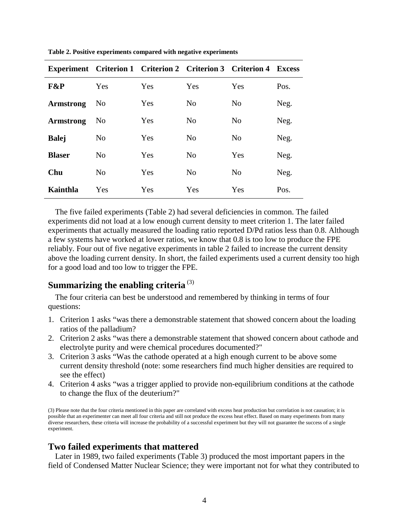|                  |                |     | <b>Experiment Criterion 1 Criterion 2 Criterion 3 Criterion 4</b> |                | <b>Excess</b> |
|------------------|----------------|-----|-------------------------------------------------------------------|----------------|---------------|
| <b>F&amp;P</b>   | Yes            | Yes | Yes                                                               | Yes            | Pos.          |
| <b>Armstrong</b> | No.            | Yes | N <sub>o</sub>                                                    | N <sub>o</sub> | Neg.          |
| <b>Armstrong</b> | No.            | Yes | N <sub>0</sub>                                                    | N <sub>0</sub> | Neg.          |
| <b>Balej</b>     | N <sub>0</sub> | Yes | N <sub>0</sub>                                                    | N <sub>0</sub> | Neg.          |
| <b>Blaser</b>    | N <sub>o</sub> | Yes | N <sub>o</sub>                                                    | Yes            | Neg.          |
| Chu              | N <sub>o</sub> | Yes | N <sub>0</sub>                                                    | N <sub>0</sub> | Neg.          |
| Kainthla         | Yes            | Yes | Yes                                                               | Yes            | Pos.          |

**Table 2. Positive experiments compared with negative experiments**

The five failed experiments (Table 2) had several deficiencies in common. The failed experiments did not load at a low enough current density to meet criterion 1. The later failed experiments that actually measured the loading ratio reported D/Pd ratios less than 0.8. Although a few systems have worked at lower ratios, we know that 0.8 is too low to produce the FPE reliably. Four out of five negative experiments in table 2 failed to increase the current density above the loading current density. In short, the failed experiments used a current density too high for a good load and too low to trigger the FPE.

# **Summarizing the enabling criteria** (3)

The four criteria can best be understood and remembered by thinking in terms of four questions:

- 1. Criterion 1 asks "was there a demonstrable statement that showed concern about the loading ratios of the palladium?
- 2. Criterion 2 asks "was there a demonstrable statement that showed concern about cathode and electrolyte purity and were chemical procedures documented?"
- 3. Criterion 3 asks "Was the cathode operated at a high enough current to be above some current density threshold (note: some researchers find much higher densities are required to see the effect)
- 4. Criterion 4 asks "was a trigger applied to provide non-equilibrium conditions at the cathode to change the flux of the deuterium?"

(3) Please note that the four criteria mentioned in this paper are correlated with excess heat production but correlation is not causation; it is possible that an experimenter can meet all four criteria and still not produce the excess heat effect. Based on many experiments from many diverse researchers, these criteria will increase the probability of a successful experiment but they will not guarantee the success of a single experiment.

#### **Two failed experiments that mattered**

Later in 1989, two failed experiments (Table 3) produced the most important papers in the field of Condensed Matter Nuclear Science; they were important not for what they contributed to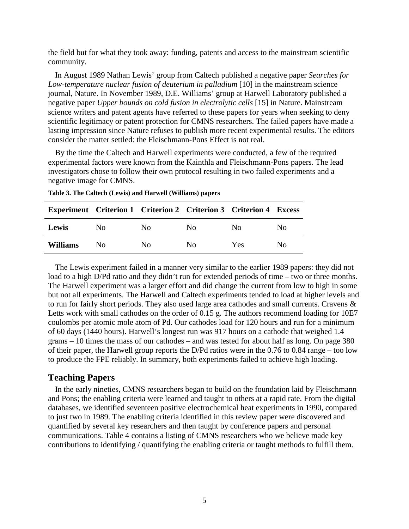the field but for what they took away: funding, patents and access to the mainstream scientific community.

In August 1989 Nathan Lewis' group from Caltech published a negative paper *Searches for Low-temperature nuclear fusion of deuterium in palladium* [10] in the mainstream science journal, Nature. In November 1989, D.E. Williams' group at Harwell Laboratory published a negative paper *Upper bounds on cold fusion in electrolytic cells* [15] in Nature. Mainstream science writers and patent agents have referred to these papers for years when seeking to deny scientific legitimacy or patent protection for CMNS researchers. The failed papers have made a lasting impression since Nature refuses to publish more recent experimental results. The editors consider the matter settled: the Fleischmann-Pons Effect is not real.

By the time the Caltech and Harwell experiments were conducted, a few of the required experimental factors were known from the Kainthla and Fleischmann-Pons papers. The lead investigators chose to follow their own protocol resulting in two failed experiments and a negative image for CMNS.

| <b>Experiment Criterion 1 Criterion 2 Criterion 3 Criterion 4 Excess</b> |                |     |    |                |     |
|--------------------------------------------------------------------------|----------------|-----|----|----------------|-----|
| Lewis                                                                    | N <sub>0</sub> | No. | No | N <sub>0</sub> | No. |
| <b>Williams</b>                                                          | No             | No. | Nο | Yes            | Nο  |

**Table 3. The Caltech (Lewis) and Harwell (Williams) papers**

The Lewis experiment failed in a manner very similar to the earlier 1989 papers: they did not load to a high D/Pd ratio and they didn't run for extended periods of time – two or three months. The Harwell experiment was a larger effort and did change the current from low to high in some but not all experiments. The Harwell and Caltech experiments tended to load at higher levels and to run for fairly short periods. They also used large area cathodes and small currents. Cravens & Letts work with small cathodes on the order of 0.15 g. The authors recommend loading for 10E7 coulombs per atomic mole atom of Pd. Our cathodes load for 120 hours and run for a minimum of 60 days (1440 hours). Harwell's longest run was 917 hours on a cathode that weighed 1.4 grams – 10 times the mass of our cathodes – and was tested for about half as long. On page 380 of their paper, the Harwell group reports the D/Pd ratios were in the 0.76 to 0.84 range – too low to produce the FPE reliably. In summary, both experiments failed to achieve high loading.

### **Teaching Papers**

In the early nineties, CMNS researchers began to build on the foundation laid by Fleischmann and Pons; the enabling criteria were learned and taught to others at a rapid rate. From the digital databases, we identified seventeen positive electrochemical heat experiments in 1990, compared to just two in 1989. The enabling criteria identified in this review paper were discovered and quantified by several key researchers and then taught by conference papers and personal communications. Table 4 contains a listing of CMNS researchers who we believe made key contributions to identifying / quantifying the enabling criteria or taught methods to fulfill them.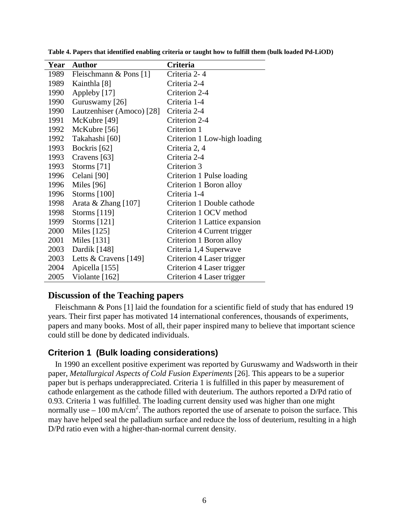| Year | <b>Author</b>             | Criteria                      |
|------|---------------------------|-------------------------------|
| 1989 | Fleischmann & Pons [1]    | Criteria 2-4                  |
| 1989 | Kainthla [8]              | Criteria 2-4                  |
| 1990 | Appleby [17]              | Criterion 2-4                 |
| 1990 | Guruswamy [26]            | Criteria 1-4                  |
| 1990 | Lautzenhiser (Amoco) [28] | Criteria 2-4                  |
| 1991 | McKubre [49]              | Criterion 2-4                 |
| 1992 | McKubre [56]              | Criterion 1                   |
| 1992 | Takahashi [60]            | Criterion 1 Low-high loading  |
| 1993 | Bockris [62]              | Criteria 2, 4                 |
| 1993 | Cravens [63]              | Criteria 2-4                  |
| 1993 | Storms [71]               | Criterion 3                   |
| 1996 | Celani [90]               | Criterion 1 Pulse loading     |
| 1996 | Miles $[96]$              | Criterion 1 Boron alloy       |
| 1996 | Storms [100]              | Criteria 1-4                  |
| 1998 | Arata & Zhang [107]       | Criterion 1 Double cathode    |
| 1998 | Storms $[119]$            | Criterion 1 OCV method        |
| 1999 | Storms $[121]$            | Criterion 1 Lattice expansion |
| 2000 | Miles [125]               | Criterion 4 Current trigger   |
| 2001 | Miles [131]               | Criterion 1 Boron alloy       |
| 2003 | Dardik [148]              | Criteria 1,4 Superwave        |
| 2003 | Letts & Cravens $[149]$   | Criterion 4 Laser trigger     |
| 2004 | Apicella [155]            | Criterion 4 Laser trigger     |
| 2005 | Violante [162]            | Criterion 4 Laser trigger     |

**Table 4. Papers that identified enabling criteria or taught how to fulfill them (bulk loaded Pd-LiOD)**

#### **Discussion of the Teaching papers**

Fleischmann & Pons [1] laid the foundation for a scientific field of study that has endured 19 years. Their first paper has motivated 14 international conferences, thousands of experiments, papers and many books. Most of all, their paper inspired many to believe that important science could still be done by dedicated individuals.

### **Criterion 1 (Bulk loading considerations)**

In 1990 an excellent positive experiment was reported by Guruswamy and Wadsworth in their paper, *Metallurgical Aspects of Cold Fusion Experiments* [26]. This appears to be a superior paper but is perhaps underappreciated. Criteria 1 is fulfilled in this paper by measurement of cathode enlargement as the cathode filled with deuterium. The authors reported a D/Pd ratio of 0.93. Criteria 1 was fulfilled. The loading current density used was higher than one might normally use  $-100$  mA/cm<sup>2</sup>. The authors reported the use of arsenate to poison the surface. This may have helped seal the palladium surface and reduce the loss of deuterium, resulting in a high D/Pd ratio even with a higher-than-normal current density.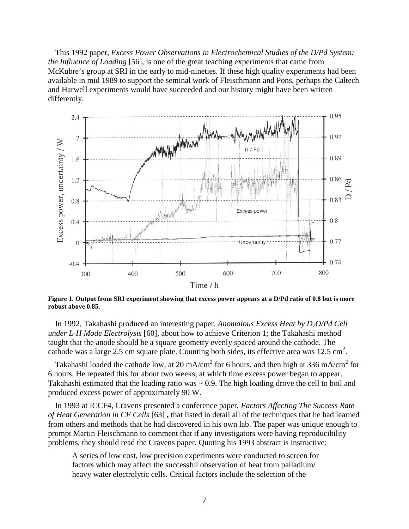This 1992 paper, *Excess Power Observations in Electrochemical Studies of the D/Pd System: the Influence of Loading* [56], is one of the great teaching experiments that came from McKubre's group at SRI in the early to mid-nineties. If these high quality experiments had been available in mid 1989 to support the seminal work of Fleischmann and Pons, perhaps the Caltech and Harwell experiments would have succeeded and our history might have been written differently.



**Figure 1. Output from SRI experiment showing that excess power appears at a D/Pd ratio of 0.8 but is more robust above 0.85.**

In 1992, Takahashi produced an interesting paper, *Anomalous Excess Heat by D2O/Pd Cell under L-H Mode Electrolysis* [60], about how to achieve Criterion 1; the Takahashi method taught that the anode should be a square geometry evenly spaced around the cathode. The cathode was a large 2.5 cm square plate. Counting both sides, its effective area was  $12.5 \text{ cm}^2$ .

Takahashi loaded the cathode low, at 20 mA/cm<sup>2</sup> for 6 hours, and then high at 336 mA/cm<sup>2</sup> for 6 hours. He repeated this for about two weeks, at which time excess power began to appear. Takahashi estimated that the loading ratio was  $\sim 0.9$ . The high loading drove the cell to boil and produced excess power of approximately 90 W.

In 1993 at ICCF4, Cravens presented a conference paper, *Factors Affecting The Success Rate of Heat Generation in CF Cells* [63] **,** that listed in detail all of the techniques that he had learned from others and methods that he had discovered in his own lab. The paper was unique enough to prompt Martin Fleischmann to comment that if any investigators were having reproducibility problems, they should read the Cravens paper. Quoting his 1993 abstract is instructive:

A series of low cost, low precision experiments were conducted to screen for factors which may affect the successful observation of heat from palladium/ heavy water electrolytic cells. Critical factors include the selection of the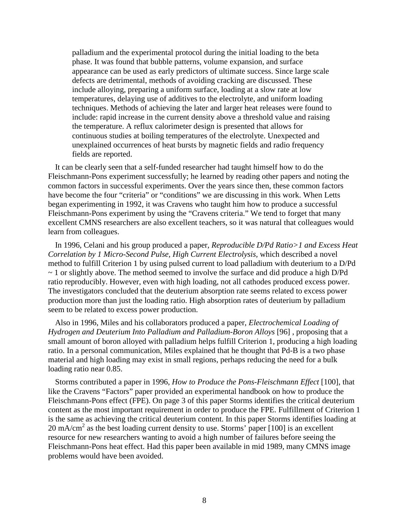palladium and the experimental protocol during the initial loading to the beta phase. It was found that bubble patterns, volume expansion, and surface appearance can be used as early predictors of ultimate success. Since large scale defects are detrimental, methods of avoiding cracking are discussed. These include alloying, preparing a uniform surface, loading at a slow rate at low temperatures, delaying use of additives to the electrolyte, and uniform loading techniques. Methods of achieving the later and larger heat releases were found to include: rapid increase in the current density above a threshold value and raising the temperature. A reflux calorimeter design is presented that allows for continuous studies at boiling temperatures of the electrolyte. Unexpected and unexplained occurrences of heat bursts by magnetic fields and radio frequency fields are reported.

It can be clearly seen that a self-funded researcher had taught himself how to do the Fleischmann-Pons experiment successfully; he learned by reading other papers and noting the common factors in successful experiments. Over the years since then, these common factors have become the four "criteria" or "conditions" we are discussing in this work. When Letts began experimenting in 1992, it was Cravens who taught him how to produce a successful Fleischmann-Pons experiment by using the "Cravens criteria." We tend to forget that many excellent CMNS researchers are also excellent teachers, so it was natural that colleagues would learn from colleagues.

In 1996, Celani and his group produced a paper, *Reproducible D/Pd Ratio>1 and Excess Heat Correlation by 1 Micro-Second Pulse, High Current Electrolysis,* which described a novel method to fulfill Criterion 1 by using pulsed current to load palladium with deuterium to a D/Pd  $\sim$  1 or slightly above. The method seemed to involve the surface and did produce a high D/Pd ratio reproducibly. However, even with high loading, not all cathodes produced excess power. The investigators concluded that the deuterium absorption rate seems related to excess power production more than just the loading ratio. High absorption rates of deuterium by palladium seem to be related to excess power production.

Also in 1996, Miles and his collaborators produced a paper, *Electrochemical Loading of Hydrogen and Deuterium Into Palladium and Palladium-Boron Alloys* [96] , proposing that a small amount of boron alloyed with palladium helps fulfill Criterion 1, producing a high loading ratio. In a personal communication, Miles explained that he thought that Pd-B is a two phase material and high loading may exist in small regions, perhaps reducing the need for a bulk loading ratio near 0.85.

Storms contributed a paper in 1996, *How to Produce the Pons-Fleischmann Effect* [100], that like the Cravens "Factors" paper provided an experimental handbook on how to produce the Fleischmann-Pons effect (FPE). On page 3 of this paper Storms identifies the critical deuterium content as the most important requirement in order to produce the FPE. Fulfillment of Criterion 1 is the same as achieving the critical deuterium content. In this paper Storms identifies loading at 20 mA/cm<sup>2</sup> as the best loading current density to use. Storms' paper [100] is an excellent resource for new researchers wanting to avoid a high number of failures before seeing the Fleischmann-Pons heat effect. Had this paper been available in mid 1989, many CMNS image problems would have been avoided.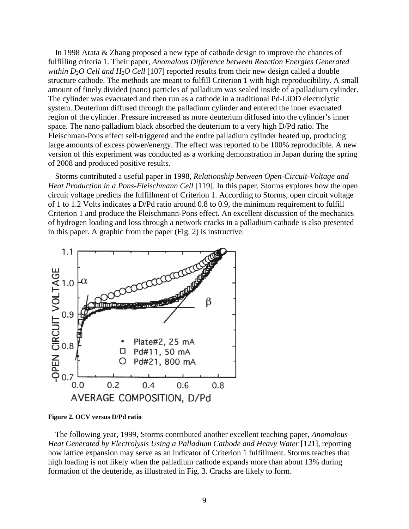In 1998 Arata & Zhang proposed a new type of cathode design to improve the chances of fulfilling criteria 1. Their paper, *Anomalous Difference between Reaction Energies Generated within D2O Cell and H2O Cell* [107] reported results from their new design called a double structure cathode. The methods are meant to fulfill Criterion 1 with high reproducibility. A small amount of finely divided (nano) particles of palladium was sealed inside of a palladium cylinder. The cylinder was evacuated and then run as a cathode in a traditional Pd-LiOD electrolytic system. Deuterium diffused through the palladium cylinder and entered the inner evacuated region of the cylinder. Pressure increased as more deuterium diffused into the cylinder's inner space. The nano palladium black absorbed the deuterium to a very high D/Pd ratio. The Fleischman-Pons effect self-triggered and the entire palladium cylinder heated up, producing large amounts of excess power/energy. The effect was reported to be 100% reproducible. A new version of this experiment was conducted as a working demonstration in Japan during the spring of 2008 and produced positive results.

Storms contributed a useful paper in 1998, *Relationship between Open-Circuit-Voltage and Heat Production in a Pons-Fleischmann Cell* [119]. In this paper, Storms explores how the open circuit voltage predicts the fulfillment of Criterion 1. According to Storms, open circuit voltage of 1 to 1.2 Volts indicates a D/Pd ratio around 0.8 to 0.9, the minimum requirement to fulfill Criterion 1 and produce the Fleischmann-Pons effect. An excellent discussion of the mechanics of hydrogen loading and loss through a network cracks in a palladium cathode is also presented in this paper. A graphic from the paper (Fig. 2) is instructive.



**Figure 2. OCV versus D/Pd ratio**

The following year, 1999, Storms contributed another excellent teaching paper, *Anomalous Heat Generated by Electrolysis Using a Palladium Cathode and Heavy Water* [121], reporting how lattice expansion may serve as an indicator of Criterion 1 fulfillment. Storms teaches that high loading is not likely when the palladium cathode expands more than about 13% during formation of the deuteride, as illustrated in Fig. 3. Cracks are likely to form.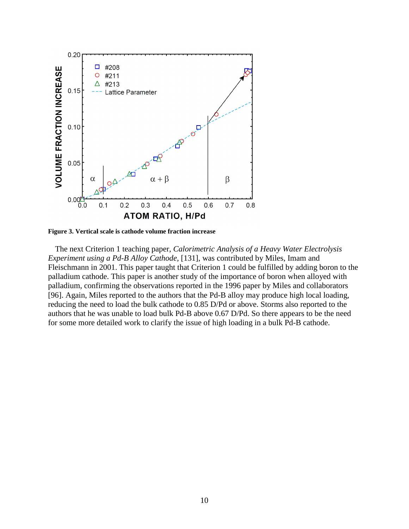

**Figure 3. Vertical scale is cathode volume fraction increase**

The next Criterion 1 teaching paper, *Calorimetric Analysis of a Heavy Water Electrolysis Experiment using a Pd-B Alloy Cathode,* [131], was contributed by Miles, Imam and Fleischmann in 2001. This paper taught that Criterion 1 could be fulfilled by adding boron to the palladium cathode. This paper is another study of the importance of boron when alloyed with palladium, confirming the observations reported in the 1996 paper by Miles and collaborators [96]. Again, Miles reported to the authors that the Pd-B alloy may produce high local loading, reducing the need to load the bulk cathode to 0.85 D/Pd or above. Storms also reported to the authors that he was unable to load bulk Pd-B above 0.67 D/Pd. So there appears to be the need for some more detailed work to clarify the issue of high loading in a bulk Pd-B cathode.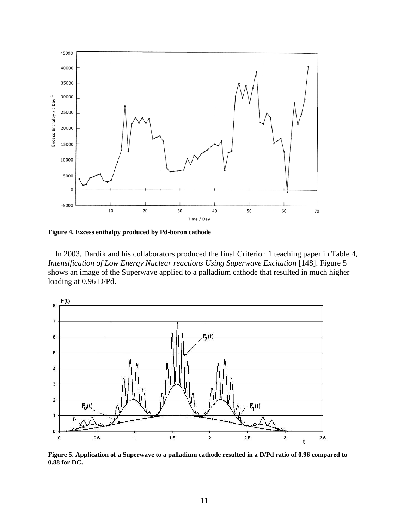

**Figure 4. Excess enthalpy produced by Pd-boron cathode**

In 2003, Dardik and his collaborators produced the final Criterion 1 teaching paper in Table 4*, Intensification of Low Energy Nuclear reactions Using Superwave Excitation* [148]. Figure 5 shows an image of the Superwave applied to a palladium cathode that resulted in much higher loading at 0.96 D/Pd.



**Figure 5. Application of a Superwave to a palladium cathode resulted in a D/Pd ratio of 0.96 compared to 0.88 for DC.**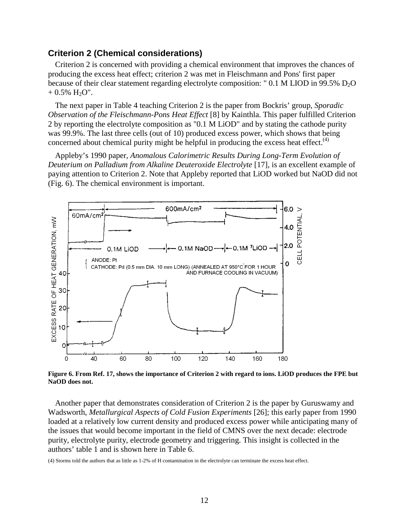# **Criterion 2 (Chemical considerations)**

Criterion 2 is concerned with providing a chemical environment that improves the chances of producing the excess heat effect; criterion 2 was met in Fleischmann and Pons' first paper because of their clear statement regarding electrolyte composition: " 0.1 M LIOD in 99.5%  $D_2O$  $+ 0.5\%$  H<sub>2</sub>O".

The next paper in Table 4 teaching Criterion 2 is the paper from Bockris' group, *Sporadic Observation of the Fleischmann-Pons Heat Effect* [8] by Kainthla. This paper fulfilled Criterion 2 by reporting the electrolyte composition as "0.1 M LiOD" and by stating the cathode purity was 99.9%. The last three cells (out of 10) produced excess power, which shows that being concerned about chemical purity might be helpful in producing the excess heat effect.<sup>(4)</sup>

Appleby's 1990 paper, *Anomalous Calorimetric Results During Long-Term Evolution of Deuterium on Palladium from Alkaline Deuteroxide Electrolyte* [17], is an excellent example of paying attention to Criterion 2. Note that Appleby reported that LiOD worked but NaOD did not (Fig. 6). The chemical environment is important.



**Figure 6. From Ref. 17, shows the importance of Criterion 2 with regard to ions. LiOD produces the FPE but NaOD does not.**

Another paper that demonstrates consideration of Criterion 2 is the paper by Guruswamy and Wadsworth, *Metallurgical Aspects of Cold Fusion Experiments* [26]; this early paper from 1990 loaded at a relatively low current density and produced excess power while anticipating many of the issues that would become important in the field of CMNS over the next decade: electrode purity, electrolyte purity, electrode geometry and triggering. This insight is collected in the authors' table 1 and is shown here in Table 6.

(4) Storms told the authors that as little as 1-2% of H contamination in the electrolyte can terminate the excess heat effect.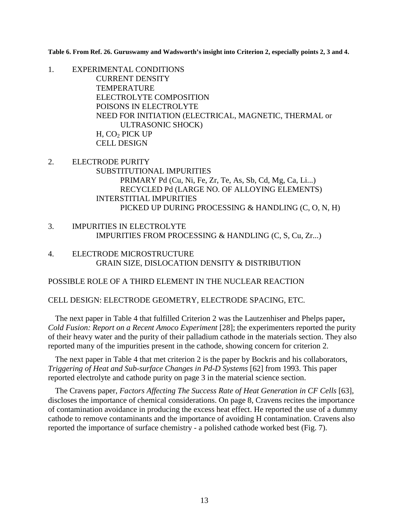**Table 6. From Ref. 26. Guruswamy and Wadsworth's insight into Criterion 2, especially points 2, 3 and 4.**

1. EXPERIMENTAL CONDITIONS CURRENT DENSITY **TEMPERATURE** ELECTROLYTE COMPOSITION POISONS IN ELECTROLYTE NEED FOR INITIATION (ELECTRICAL, MAGNETIC, THERMAL or ULTRASONIC SHOCK) H, CO<sub>2</sub> PICK UP CELL DESIGN

- 2. ELECTRODE PURITY SUBSTITUTIONAL IMPURITIES PRIMARY Pd (Cu, Ni, Fe, Zr, Te, As, Sb, Cd, Mg, Ca, Li...) RECYCLED Pd (LARGE NO. OF ALLOYING ELEMENTS) INTERSTITIAL IMPURITIES PICKED UP DURING PROCESSING & HANDLING (C, O, N, H)
- 3. IMPURITIES IN ELECTROLYTE IMPURITIES FROM PROCESSING & HANDLING (C, S, Cu, Zr...)
- 4. ELECTRODE MICROSTRUCTURE GRAIN SIZE, DISLOCATION DENSITY & DISTRIBUTION

POSSIBLE ROLE OF A THIRD ELEMENT IN THE NUCLEAR REACTION

CELL DESIGN: ELECTRODE GEOMETRY, ELECTRODE SPACING, ETC.

The next paper in Table 4 that fulfilled Criterion 2 was the Lautzenhiser and Phelps paper**,** *Cold Fusion: Report on a Recent Amoco Experiment* [28]; the experimenters reported the purity of their heavy water and the purity of their palladium cathode in the materials section. They also reported many of the impurities present in the cathode, showing concern for criterion 2.

The next paper in Table 4 that met criterion 2 is the paper by Bockris and his collaborators, *Triggering of Heat and Sub-surface Changes in Pd-D Systems* [62] from 1993. This paper reported electrolyte and cathode purity on page 3 in the material science section.

The Cravens paper, *Factors Affecting The Success Rate of Heat Generation in CF Cells* [63], discloses the importance of chemical considerations. On page 8, Cravens recites the importance of contamination avoidance in producing the excess heat effect. He reported the use of a dummy cathode to remove contaminants and the importance of avoiding H contamination. Cravens also reported the importance of surface chemistry - a polished cathode worked best (Fig. 7).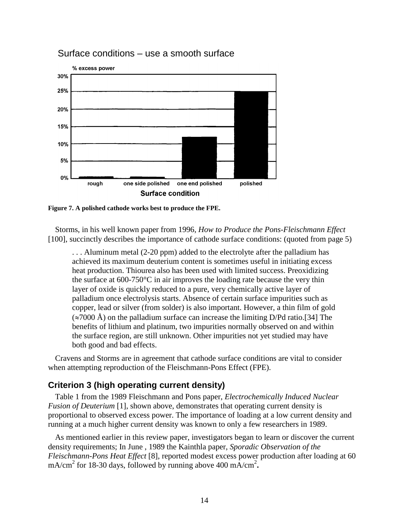

## Surface conditions – use a smooth surface

**Figure 7. A polished cathode works best to produce the FPE.**

Storms, in his well known paper from 1996, *How to Produce the Pons-Fleischmann Effect* [100], succinctly describes the importance of cathode surface conditions: (quoted from page 5)

. . . Aluminum metal (2-20 ppm) added to the electrolyte after the palladium has achieved its maximum deuterium content is sometimes useful in initiating excess heat production. Thiourea also has been used with limited success. Preoxidizing the surface at 600-750°C in air improves the loading rate because the very thin layer of oxide is quickly reduced to a pure, very chemically active layer of palladium once electrolysis starts. Absence of certain surface impurities such as copper, lead or silver (from solder) is also important. However, a thin film of gold  $(\approx 7000 \text{ Å})$  on the palladium surface can increase the limiting D/Pd ratio.[34] The benefits of lithium and platinum, two impurities normally observed on and within the surface region, are still unknown. Other impurities not yet studied may have both good and bad effects.

Cravens and Storms are in agreement that cathode surface conditions are vital to consider when attempting reproduction of the Fleischmann-Pons Effect (FPE).

### **Criterion 3 (high operating current density)**

Table 1 from the 1989 Fleischmann and Pons paper, *Electrochemically Induced Nuclear Fusion of Deuterium* [1], shown above, demonstrates that operating current density is proportional to observed excess power. The importance of loading at a low current density and running at a much higher current density was known to only a few researchers in 1989.

As mentioned earlier in this review paper, investigators began to learn or discover the current density requirements; In June , 1989 the Kainthla paper, *Sporadic Observation of the Fleischmann-Pons Heat Effect* [8], reported modest excess power production after loading at 60 mA/cm<sup>2</sup> for 18-30 days, followed by running above 400 mA/cm<sup>2</sup>.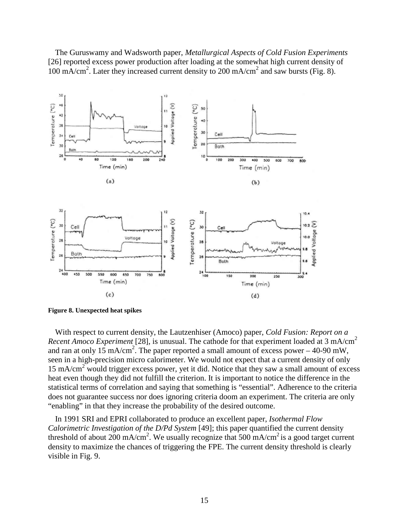The Guruswamy and Wadsworth paper, *Metallurgical Aspects of Cold Fusion Experiments* [26] reported excess power production after loading at the somewhat high current density of 100 mA/cm<sup>2</sup>. Later they increased current density to 200 mA/cm<sup>2</sup> and saw bursts (Fig. 8).



**Figure 8. Unexpected heat spikes**

With respect to current density, the Lautzenhiser (Amoco) paper, *Cold Fusion: Report on a Recent Amoco Experiment* [28], is unusual. The cathode for that experiment loaded at 3 mA/cm<sup>2</sup> and ran at only 15 mA/cm<sup>2</sup>. The paper reported a small amount of excess power – 40-90 mW, seen in a high-precision micro calorimeter. We would not expect that a current density of only  $15 \text{ mA/cm}^2$  would trigger excess power, yet it did. Notice that they saw a small amount of excess heat even though they did not fulfill the criterion. It is important to notice the difference in the statistical terms of correlation and saying that something is "essential". Adherence to the criteria does not guarantee success nor does ignoring criteria doom an experiment. The criteria are only "enabling" in that they increase the probability of the desired outcome.

In 1991 SRI and EPRI collaborated to produce an excellent paper, *Isothermal Flow Calorimetric Investigation of the D/Pd System* [49]; this paper quantified the current density threshold of about 200 mA/cm<sup>2</sup>. We usually recognize that 500 mA/cm<sup>2</sup> is a good target current density to maximize the chances of triggering the FPE. The current density threshold is clearly visible in Fig. 9.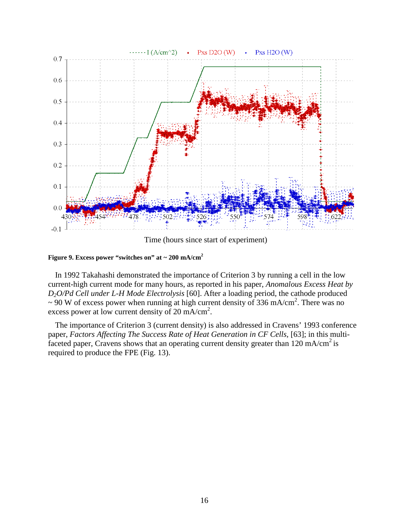

Time (hours since start of experiment)

**Figure 9. Excess power "switches on" at ~ 200 mA/cm<sup>2</sup>**

In 1992 Takahashi demonstrated the importance of Criterion 3 by running a cell in the low current-high current mode for many hours, as reported in his paper, *Anomalous Excess Heat by D2O/Pd Cell under L-H Mode Electrolysis* [60]. After a loading period, the cathode produced  $\sim$  90 W of excess power when running at high current density of 336 mA/cm<sup>2</sup>. There was no excess power at low current density of 20 mA/cm<sup>2</sup>.

The importance of Criterion 3 (current density) is also addressed in Cravens' 1993 conference paper, *Factors Affecting The Success Rate of Heat Generation in CF Cells,* [63]; in this multifaceted paper, Cravens shows that an operating current density greater than  $120 \text{ mA/cm}^2$  is required to produce the FPE (Fig. 13).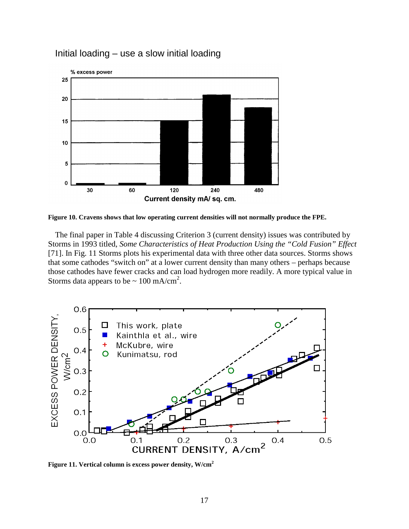

Initial loading – use a slow initial loading

**Figure 10. Cravens shows that low operating current densities will not normally produce the FPE.**

The final paper in Table 4 discussing Criterion 3 (current density) issues was contributed by Storms in 1993 titled, *Some Characteristics of Heat Production Using the "Cold Fusion" Effect* [71]. In Fig. 11 Storms plots his experimental data with three other data sources. Storms shows that some cathodes "switch on" at a lower current density than many others – perhaps because those cathodes have fewer cracks and can load hydrogen more readily. A more typical value in Storms data appears to be  $\sim 100 \text{ mA/cm}^2$ .



**Figure 11. Vertical column is excess power density, W/cm<sup>2</sup>**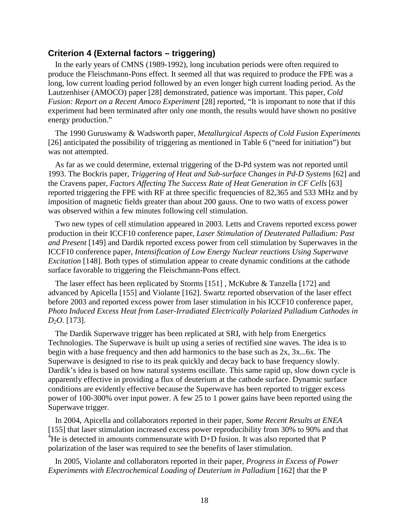### **Criterion 4 (External factors – triggering)**

In the early years of CMNS (1989-1992), long incubation periods were often required to produce the Fleischmann-Pons effect. It seemed all that was required to produce the FPE was a long, low current loading period followed by an even longer high current loading period. As the Lautzenhiser (AMOCO) paper [28] demonstrated, patience was important. This paper, *Cold Fusion: Report on a Recent Amoco Experiment* [28] reported, "It is important to note that if this experiment had been terminated after only one month, the results would have shown no positive energy production."

The 1990 Guruswamy & Wadsworth paper, *Metallurgical Aspects of Cold Fusion Experiments* [26] anticipated the possibility of triggering as mentioned in Table 6 ("need for initiation") but was not attempted.

As far as we could determine, external triggering of the D-Pd system was not reported until 1993. The Bockris paper, *Triggering of Heat and Sub-surface Changes in Pd-D Systems* [62] and the Cravens paper, *Factors Affecting The Success Rate of Heat Generation in CF Cells* [63] reported triggering the FPE with RF at three specific frequencies of 82,365 and 533 MHz and by imposition of magnetic fields greater than about 200 gauss. One to two watts of excess power was observed within a few minutes following cell stimulation.

Two new types of cell stimulation appeared in 2003. Letts and Cravens reported excess power production in their ICCF10 conference paper, *Laser Stimulation of Deuterated Palladium: Past and Present* [149] and Dardik reported excess power from cell stimulation by Superwaves in the ICCF10 conference paper, *Intensification of Low Energy Nuclear reactions Using Superwave Excitation* [148]. Both types of stimulation appear to create dynamic conditions at the cathode surface favorable to triggering the Fleischmann-Pons effect.

The laser effect has been replicated by Storms [151] , McKubre & Tanzella [172] and advanced by Apicella [155] and Violante [162]. Swartz reported observation of the laser effect before 2003 and reported excess power from laser stimulation in his ICCF10 conference paper, *Photo Induced Excess Heat from Laser-Irradiated Electrically Polarized Palladium Cathodes in D2O.* [173].

The Dardik Superwave trigger has been replicated at SRI, with help from Energetics Technologies. The Superwave is built up using a series of rectified sine waves. The idea is to begin with a base frequency and then add harmonics to the base such as 2x, 3x...6x. The Superwave is designed to rise to its peak quickly and decay back to base frequency slowly. Dardik's idea is based on how natural systems oscillate. This same rapid up, slow down cycle is apparently effective in providing a flux of deuterium at the cathode surface. Dynamic surface conditions are evidently effective because the Superwave has been reported to trigger excess power of 100-300% over input power. A few 25 to 1 power gains have been reported using the Superwave trigger.

In 2004, Apicella and collaborators reported in their paper, *Some Recent Results at ENEA* [155] that laser stimulation increased excess power reproducibility from 30% to 90% and that <sup>4</sup>He is detected in amounts commensurate with D+D fusion. It was also reported that P polarization of the laser was required to see the benefits of laser stimulation.

In 2005, Violante and collaborators reported in their paper, *Progress in Excess of Power Experiments with Electrochemical Loading of Deuterium in Palladium* [162] that the P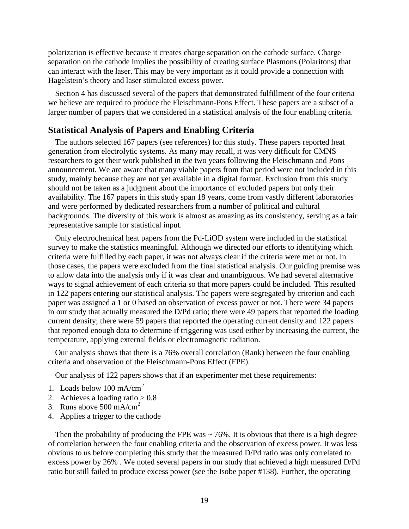polarization is effective because it creates charge separation on the cathode surface. Charge separation on the cathode implies the possibility of creating surface Plasmons (Polaritons) that can interact with the laser. This may be very important as it could provide a connection with Hagelstein's theory and laser stimulated excess power.

Section 4 has discussed several of the papers that demonstrated fulfillment of the four criteria we believe are required to produce the Fleischmann-Pons Effect. These papers are a subset of a larger number of papers that we considered in a statistical analysis of the four enabling criteria.

### **Statistical Analysis of Papers and Enabling Criteria**

The authors selected 167 papers (see references) for this study. These papers reported heat generation from electrolytic systems. As many may recall, it was very difficult for CMNS researchers to get their work published in the two years following the Fleischmann and Pons announcement. We are aware that many viable papers from that period were not included in this study, mainly because they are not yet available in a digital format. Exclusion from this study should not be taken as a judgment about the importance of excluded papers but only their availability. The 167 papers in this study span 18 years, come from vastly different laboratories and were performed by dedicated researchers from a number of political and cultural backgrounds. The diversity of this work is almost as amazing as its consistency, serving as a fair representative sample for statistical input.

Only electrochemical heat papers from the Pd-LiOD system were included in the statistical survey to make the statistics meaningful. Although we directed our efforts to identifying which criteria were fulfilled by each paper, it was not always clear if the criteria were met or not. In those cases, the papers were excluded from the final statistical analysis. Our guiding premise was to allow data into the analysis only if it was clear and unambiguous. We had several alternative ways to signal achievement of each criteria so that more papers could be included. This resulted in 122 papers entering our statistical analysis. The papers were segregated by criterion and each paper was assigned a 1 or 0 based on observation of excess power or not. There were 34 papers in our study that actually measured the D/Pd ratio; there were 49 papers that reported the loading current density; there were 59 papers that reported the operating current density and 122 papers that reported enough data to determine if triggering was used either by increasing the current, the temperature, applying external fields or electromagnetic radiation.

Our analysis shows that there is a 76% overall correlation (Rank) between the four enabling criteria and observation of the Fleischmann-Pons Effect (FPE).

Our analysis of 122 papers shows that if an experimenter met these requirements:

- 1. Loads below 100 mA/cm<sup>2</sup>
- 2. Achieves a loading ratio  $> 0.8$
- 3. Runs above  $500 \text{ mA/cm}^2$
- 4. Applies a trigger to the cathode

Then the probability of producing the FPE was  $\sim$  76%. It is obvious that there is a high degree of correlation between the four enabling criteria and the observation of excess power. It was less obvious to us before completing this study that the measured D/Pd ratio was only correlated to excess power by 26% . We noted several papers in our study that achieved a high measured D/Pd ratio but still failed to produce excess power (see the Isobe paper #138). Further, the operating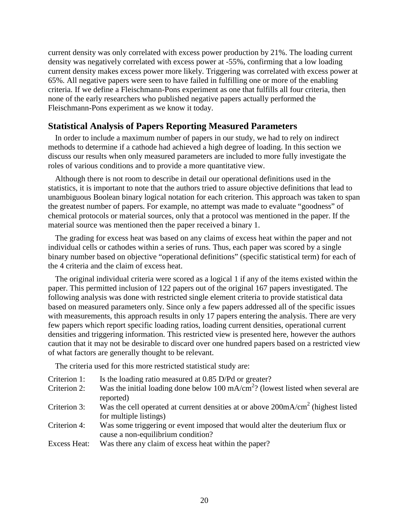current density was only correlated with excess power production by 21%. The loading current density was negatively correlated with excess power at -55%, confirming that a low loading current density makes excess power more likely. Triggering was correlated with excess power at 65%. All negative papers were seen to have failed in fulfilling one or more of the enabling criteria. If we define a Fleischmann-Pons experiment as one that fulfills all four criteria, then none of the early researchers who published negative papers actually performed the Fleischmann-Pons experiment as we know it today.

# **Statistical Analysis of Papers Reporting Measured Parameters**

In order to include a maximum number of papers in our study, we had to rely on indirect methods to determine if a cathode had achieved a high degree of loading. In this section we discuss our results when only measured parameters are included to more fully investigate the roles of various conditions and to provide a more quantitative view.

Although there is not room to describe in detail our operational definitions used in the statistics, it is important to note that the authors tried to assure objective definitions that lead to unambiguous Boolean binary logical notation for each criterion. This approach was taken to span the greatest number of papers. For example, no attempt was made to evaluate "goodness" of chemical protocols or material sources, only that a protocol was mentioned in the paper. If the material source was mentioned then the paper received a binary 1.

The grading for excess heat was based on any claims of excess heat within the paper and not individual cells or cathodes within a series of runs. Thus, each paper was scored by a single binary number based on objective "operational definitions" (specific statistical term) for each of the 4 criteria and the claim of excess heat.

The original individual criteria were scored as a logical 1 if any of the items existed within the paper. This permitted inclusion of 122 papers out of the original 167 papers investigated. The following analysis was done with restricted single element criteria to provide statistical data based on measured parameters only. Since only a few papers addressed all of the specific issues with measurements, this approach results in only 17 papers entering the analysis. There are very few papers which report specific loading ratios, loading current densities, operational current densities and triggering information. This restricted view is presented here, however the authors caution that it may not be desirable to discard over one hundred papers based on a restricted view of what factors are generally thought to be relevant.

The criteria used for this more restricted statistical study are:

- Criterion 1: Is the loading ratio measured at 0.85 D/Pd or greater?
- Criterion 2: Was the initial loading done below 100 mA/ $\text{cm}^2$ ? (lowest listed when several are reported)
- Criterion 3: Was the cell operated at current densities at or above  $200 \text{mA/cm}^2$  (highest listed for multiple listings)
- Criterion 4: Was some triggering or event imposed that would alter the deuterium flux or cause a non-equilibrium condition?
- Excess Heat: Was there any claim of excess heat within the paper?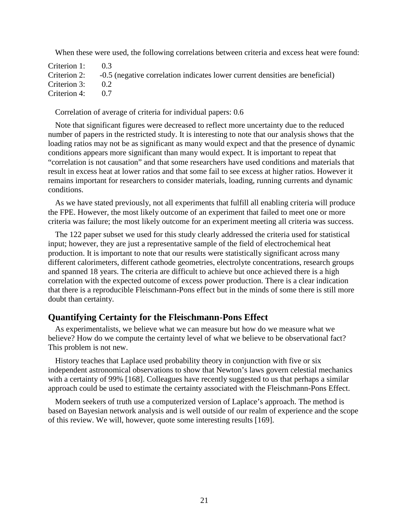When these were used, the following correlations between criteria and excess heat were found:

| Criterion 1: $0.3$ |                                                                                           |
|--------------------|-------------------------------------------------------------------------------------------|
|                    | Criterion 2: -0.5 (negative correlation indicates lower current densities are beneficial) |
| Criterion 3: $0.2$ |                                                                                           |
| Criterion 4: $0.7$ |                                                                                           |

Correlation of average of criteria for individual papers: 0.6

Note that significant figures were decreased to reflect more uncertainty due to the reduced number of papers in the restricted study. It is interesting to note that our analysis shows that the loading ratios may not be as significant as many would expect and that the presence of dynamic conditions appears more significant than many would expect. It is important to repeat that "correlation is not causation" and that some researchers have used conditions and materials that result in excess heat at lower ratios and that some fail to see excess at higher ratios. However it remains important for researchers to consider materials, loading, running currents and dynamic conditions.

As we have stated previously, not all experiments that fulfill all enabling criteria will produce the FPE. However, the most likely outcome of an experiment that failed to meet one or more criteria was failure; the most likely outcome for an experiment meeting all criteria was success.

The 122 paper subset we used for this study clearly addressed the criteria used for statistical input; however, they are just a representative sample of the field of electrochemical heat production. It is important to note that our results were statistically significant across many different calorimeters, different cathode geometries, electrolyte concentrations, research groups and spanned 18 years. The criteria are difficult to achieve but once achieved there is a high correlation with the expected outcome of excess power production. There is a clear indication that there is a reproducible Fleischmann-Pons effect but in the minds of some there is still more doubt than certainty.

#### **Quantifying Certainty for the Fleischmann-Pons Effect**

As experimentalists, we believe what we can measure but how do we measure what we believe? How do we compute the certainty level of what we believe to be observational fact? This problem is not new.

History teaches that Laplace used probability theory in conjunction with five or six independent astronomical observations to show that Newton's laws govern celestial mechanics with a certainty of 99% [168]. Colleagues have recently suggested to us that perhaps a similar approach could be used to estimate the certainty associated with the Fleischmann-Pons Effect.

Modern seekers of truth use a computerized version of Laplace's approach. The method is based on Bayesian network analysis and is well outside of our realm of experience and the scope of this review. We will, however, quote some interesting results [169].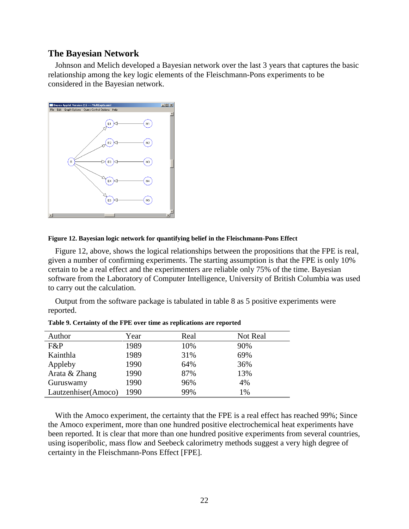#### **The Bayesian Network**

Johnson and Melich developed a Bayesian network over the last 3 years that captures the basic relationship among the key logic elements of the Fleischmann-Pons experiments to be considered in the Bayesian network.



#### **Figure 12. Bayesian logic network for quantifying belief in the Fleischmann-Pons Effect**

Figure 12, above, shows the logical relationships between the propositions that the FPE is real, given a number of confirming experiments. The starting assumption is that the FPE is only 10% certain to be a real effect and the experimenters are reliable only 75% of the time. Bayesian software from the Laboratory of Computer Intelligence, University of British Columbia was used to carry out the calculation.

Output from the software package is tabulated in table 8 as 5 positive experiments were reported.

| Author              | Year | Real | Not Real |
|---------------------|------|------|----------|
| F&P                 | 1989 | 10%  | 90%      |
| Kainthla            | 1989 | 31%  | 69%      |
| Appleby             | 1990 | 64%  | 36%      |
| Arata & Zhang       | 1990 | 87%  | 13%      |
| Guruswamy           | 1990 | 96%  | 4%       |
| Lautzenhiser(Amoco) | 1990 | 99%  | 1%       |

**Table 9. Certainty of the FPE over time as replications are reported**

With the Amoco experiment, the certainty that the FPE is a real effect has reached 99%; Since the Amoco experiment, more than one hundred positive electrochemical heat experiments have been reported. It is clear that more than one hundred positive experiments from several countries, using isoperibolic, mass flow and Seebeck calorimetry methods suggest a very high degree of certainty in the Fleischmann-Pons Effect [FPE].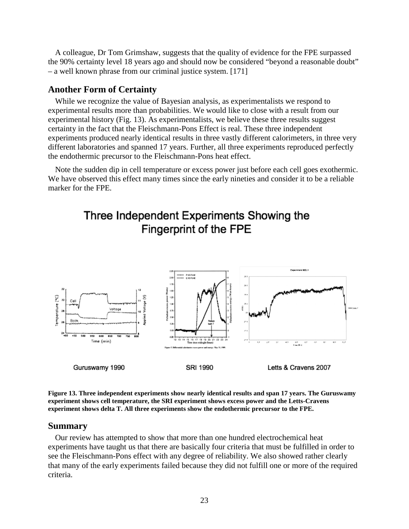A colleague, Dr Tom Grimshaw, suggests that the quality of evidence for the FPE surpassed the 90% certainty level 18 years ago and should now be considered "beyond a reasonable doubt" – a well known phrase from our criminal justice system. [171]

#### **Another Form of Certainty**

While we recognize the value of Bayesian analysis, as experimentalists we respond to experimental results more than probabilities. We would like to close with a result from our experimental history (Fig. 13). As experimentalists, we believe these three results suggest certainty in the fact that the Fleischmann-Pons Effect is real. These three independent experiments produced nearly identical results in three vastly different calorimeters, in three very different laboratories and spanned 17 years. Further, all three experiments reproduced perfectly the endothermic precursor to the Fleischmann-Pons heat effect.

Note the sudden dip in cell temperature or excess power just before each cell goes exothermic. We have observed this effect many times since the early nineties and consider it to be a reliable marker for the FPE.

# Three Independent Experiments Showing the Fingerprint of the FPE



**Figure 13. Three independent experiments show nearly identical results and span 17 years. The Guruswamy experiment shows cell temperature, the SRI experiment shows excess power and the Letts-Cravens experiment shows delta T. All three experiments show the endothermic precursor to the FPE.**

#### **Summary**

Our review has attempted to show that more than one hundred electrochemical heat experiments have taught us that there are basically four criteria that must be fulfilled in order to see the Fleischmann-Pons effect with any degree of reliability. We also showed rather clearly that many of the early experiments failed because they did not fulfill one or more of the required criteria.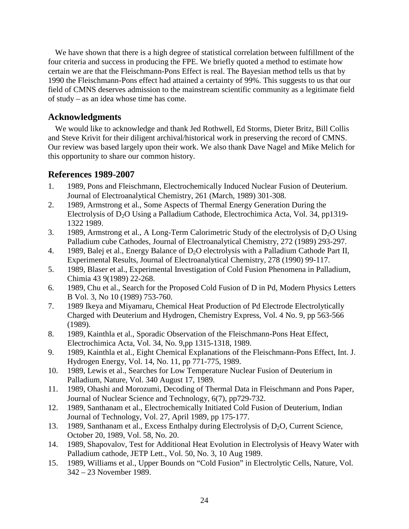We have shown that there is a high degree of statistical correlation between fulfillment of the four criteria and success in producing the FPE. We briefly quoted a method to estimate how certain we are that the Fleischmann-Pons Effect is real. The Bayesian method tells us that by 1990 the Fleischmann-Pons effect had attained a certainty of 99%. This suggests to us that our field of CMNS deserves admission to the mainstream scientific community as a legitimate field of study – as an idea whose time has come.

## **Acknowledgments**

We would like to acknowledge and thank Jed Rothwell, Ed Storms, Dieter Britz, Bill Collis and Steve Krivit for their diligent archival/historical work in preserving the record of CMNS. Our review was based largely upon their work. We also thank Dave Nagel and Mike Melich for this opportunity to share our common history.

# **References 1989-2007**

- 1. 1989, Pons and Fleischmann, Electrochemically Induced Nuclear Fusion of Deuterium. Journal of Electroanalytical Chemistry, 261 (March, 1989) 301-308.
- 2. 1989, Armstrong et al., Some Aspects of Thermal Energy Generation During the Electrolysis of  $D_2O$  Using a Palladium Cathode, Electrochimica Acta, Vol. 34, pp1319-1322 1989.
- 3. 1989, Armstrong et al., A Long-Term Calorimetric Study of the electrolysis of  $D_2O$  Using Palladium cube Cathodes, Journal of Electroanalytical Chemistry, 272 (1989) 293-297.
- 4. 1989, Balej et al., Energy Balance of  $D_2O$  electrolysis with a Palladium Cathode Part II, Experimental Results, Journal of Electroanalytical Chemistry, 278 (1990) 99-117.
- 5. 1989, Blaser et al., Experimental Investigation of Cold Fusion Phenomena in Palladium, Chimia 43 9(1989) 22-268.
- 6. 1989, Chu et al., Search for the Proposed Cold Fusion of D in Pd, Modern Physics Letters B Vol. 3, No 10 (1989) 753-760.
- 7. 1989 Ikeya and Miyamaru, Chemical Heat Production of Pd Electrode Electrolytically Charged with Deuterium and Hydrogen, Chemistry Express, Vol. 4 No. 9, pp 563-566 (1989).
- 8. 1989, Kainthla et al., Sporadic Observation of the Fleischmann-Pons Heat Effect, Electrochimica Acta, Vol. 34, No. 9,pp 1315-1318, 1989.
- 9. 1989, Kainthla et al., Eight Chemical Explanations of the Fleischmann-Pons Effect, Int. J. Hydrogen Energy, Vol. 14, No. 11, pp 771-775, 1989.
- 10. 1989, Lewis et al., Searches for Low Temperature Nuclear Fusion of Deuterium in Palladium, Nature, Vol. 340 August 17, 1989.
- 11. 1989, Ohashi and Morozumi, Decoding of Thermal Data in Fleischmann and Pons Paper, Journal of Nuclear Science and Technology, 6(7), pp729-732.
- 12. 1989, Santhanam et al., Electrochemically Initiated Cold Fusion of Deuterium, Indian Journal of Technology, Vol. 27, April 1989, pp 175-177.
- 13. 1989, Santhanam et al., Excess Enthalpy during Electrolysis of  $D_2O$ , Current Science, October 20, 1989, Vol. 58, No. 20.
- 14. 1989, Shapovalov, Test for Additional Heat Evolution in Electrolysis of Heavy Water with Palladium cathode, JETP Lett., Vol. 50, No. 3, 10 Aug 1989.
- 15. 1989, Williams et al., Upper Bounds on "Cold Fusion" in Electrolytic Cells, Nature, Vol. 342 – 23 November 1989.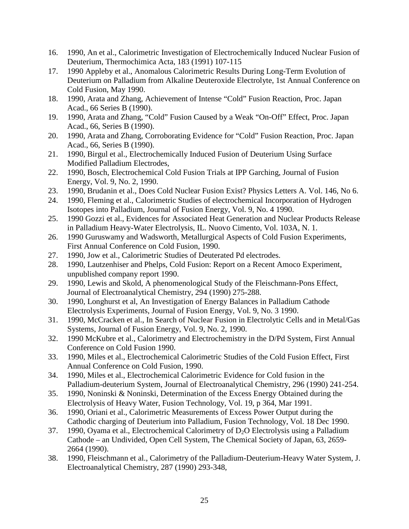- 16. 1990, An et al., Calorimetric Investigation of Electrochemically Induced Nuclear Fusion of Deuterium, Thermochimica Acta, 183 (1991) 107-115
- 17. 1990 Appleby et al., Anomalous Calorimetric Results During Long-Term Evolution of Deuterium on Palladium from Alkaline Deuteroxide Electrolyte, 1st Annual Conference on Cold Fusion, May 1990.
- 18. 1990, Arata and Zhang, Achievement of Intense "Cold" Fusion Reaction, Proc. Japan Acad., 66 Series B (1990).
- 19. 1990, Arata and Zhang, "Cold" Fusion Caused by a Weak "On-Off" Effect, Proc. Japan Acad., 66, Series B (1990).
- 20. 1990, Arata and Zhang, Corroborating Evidence for "Cold" Fusion Reaction, Proc. Japan Acad., 66, Series B (1990).
- 21. 1990, Birgul et al., Electrochemically Induced Fusion of Deuterium Using Surface Modified Palladium Electrodes,
- 22. 1990, Bosch, Electrochemical Cold Fusion Trials at IPP Garching, Journal of Fusion Energy, Vol. 9, No. 2, 1990.
- 23. 1990, Brudanin et al., Does Cold Nuclear Fusion Exist? Physics Letters A. Vol. 146, No 6.
- 24. 1990, Fleming et al., Calorimetric Studies of electrochemical Incorporation of Hydrogen Isotopes into Palladium, Journal of Fusion Energy, Vol. 9, No. 4 1990.
- 25. 1990 Gozzi et al., Evidences for Associated Heat Generation and Nuclear Products Release in Palladium Heavy-Water Electrolysis, IL. Nuovo Cimento, Vol. 103A, N. 1.
- 26. 1990 Guruswamy and Wadsworth, Metallurgical Aspects of Cold Fusion Experiments, First Annual Conference on Cold Fusion, 1990.
- 27. 1990, Jow et al., Calorimetric Studies of Deuterated Pd electrodes.
- 28. 1990, Lautzenhiser and Phelps, Cold Fusion: Report on a Recent Amoco Experiment, unpublished company report 1990.
- 29. 1990, Lewis and Skold, A phenomenological Study of the Fleischmann-Pons Effect, Journal of Electroanalytical Chemistry, 294 (1990) 275-288.
- 30. 1990, Longhurst et al, An Investigation of Energy Balances in Palladium Cathode Electrolysis Experiments, Journal of Fusion Energy, Vol. 9, No. 3 1990.
- 31. 1990, McCracken et al., In Search of Nuclear Fusion in Electrolytic Cells and in Metal/Gas Systems, Journal of Fusion Energy, Vol. 9, No. 2, 1990.
- 32. 1990 McKubre et al., Calorimetry and Electrochemistry in the D/Pd System, First Annual Conference on Cold Fusion 1990.
- 33. 1990, Miles et al., Electrochemical Calorimetric Studies of the Cold Fusion Effect, First Annual Conference on Cold Fusion, 1990.
- 34. 1990, Miles et al., Electrochemical Calorimetric Evidence for Cold fusion in the Palladium-deuterium System, Journal of Electroanalytical Chemistry, 296 (1990) 241-254.
- 35. 1990, Noninski & Noninski, Determination of the Excess Energy Obtained during the Electrolysis of Heavy Water, Fusion Technology, Vol. 19, p 364, Mar 1991.
- 36. 1990, Oriani et al., Calorimetric Measurements of Excess Power Output during the Cathodic charging of Deuterium into Palladium, Fusion Technology, Vol. 18 Dec 1990.
- 37. 1990, Oyama et al., Electrochemical Calorimetry of  $D_2O$  Electrolysis using a Palladium Cathode – an Undivided, Open Cell System, The Chemical Society of Japan, 63, 2659- 2664 (1990).
- 38. 1990, Fleischmann et al., Calorimetry of the Palladium-Deuterium-Heavy Water System, J. Electroanalytical Chemistry, 287 (1990) 293-348,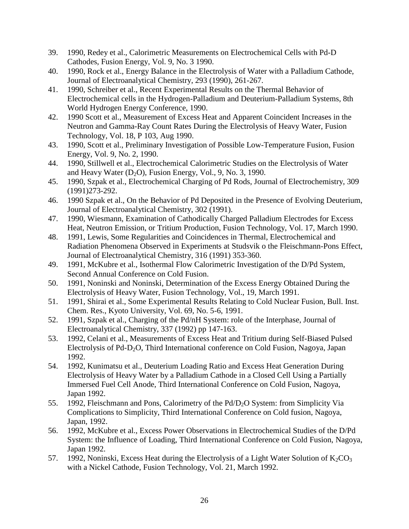- 39. 1990, Redey et al., Calorimetric Measurements on Electrochemical Cells with Pd-D Cathodes, Fusion Energy, Vol. 9, No. 3 1990.
- 40. 1990, Rock et al., Energy Balance in the Electrolysis of Water with a Palladium Cathode, Journal of Electroanalytical Chemistry, 293 (1990), 261-267.
- 41. 1990, Schreiber et al., Recent Experimental Results on the Thermal Behavior of Electrochemical cells in the Hydrogen-Palladium and Deuterium-Palladium Systems, 8th World Hydrogen Energy Conference, 1990.
- 42. 1990 Scott et al., Measurement of Excess Heat and Apparent Coincident Increases in the Neutron and Gamma-Ray Count Rates During the Electrolysis of Heavy Water, Fusion Technology, Vol. 18, P 103, Aug 1990.
- 43. 1990, Scott et al., Preliminary Investigation of Possible Low-Temperature Fusion, Fusion Energy, Vol. 9, No. 2, 1990.
- 44. 1990, Stillwell et al., Electrochemical Calorimetric Studies on the Electrolysis of Water and Heavy Water  $(D_2O)$ , Fusion Energy, Vol., 9, No. 3, 1990.
- 45. 1990, Szpak et al., Electrochemical Charging of Pd Rods, Journal of Electrochemistry, 309 (1991)273-292.
- 46. 1990 Szpak et al., On the Behavior of Pd Deposited in the Presence of Evolving Deuterium, Journal of Electroanalytical Chemistry, 302 (1991).
- 47. 1990, Wiesmann, Examination of Cathodically Charged Palladium Electrodes for Excess Heat, Neutron Emission, or Tritium Production, Fusion Technology, Vol. 17, March 1990.
- 48. 1991, Lewis, Some Regularities and Coincidences in Thermal, Electrochemical and Radiation Phenomena Observed in Experiments at Studsvik o the Fleischmann-Pons Effect, Journal of Electroanalytical Chemistry, 316 (1991) 353-360.
- 49. 1991, McKubre et al., Isothermal Flow Calorimetric Investigation of the D/Pd System, Second Annual Conference on Cold Fusion.
- 50. 1991, Noninski and Noninski, Determination of the Excess Energy Obtained During the Electrolysis of Heavy Water, Fusion Technology, Vol., 19, March 1991.
- 51. 1991, Shirai et al., Some Experimental Results Relating to Cold Nuclear Fusion, Bull. Inst. Chem. Res., Kyoto University, Vol. 69, No. 5-6, 1991.
- 52. 1991, Szpak et al., Charging of the Pd/nH System: role of the Interphase, Journal of Electroanalytical Chemistry, 337 (1992) pp 147-163.
- 53. 1992, Celani et al., Measurements of Excess Heat and Tritium during Self-Biased Pulsed Electrolysis of Pd-D2O, Third International conference on Cold Fusion, Nagoya, Japan 1992.
- 54. 1992, Kunimatsu et al., Deuterium Loading Ratio and Excess Heat Generation During Electrolysis of Heavy Water by a Palladium Cathode in a Closed Cell Using a Partially Immersed Fuel Cell Anode, Third International Conference on Cold Fusion, Nagoya, Japan 1992.
- 55. 1992, Fleischmann and Pons, Calorimetry of the Pd/D<sub>2</sub>O System: from Simplicity Via Complications to Simplicity, Third International Conference on Cold fusion, Nagoya, Japan, 1992.
- 56. 1992, McKubre et al., Excess Power Observations in Electrochemical Studies of the D/Pd System: the Influence of Loading, Third International Conference on Cold Fusion, Nagoya, Japan 1992.
- 57. 1992, Noninski, Excess Heat during the Electrolysis of a Light Water Solution of  $K_2CO_3$ with a Nickel Cathode, Fusion Technology, Vol. 21, March 1992.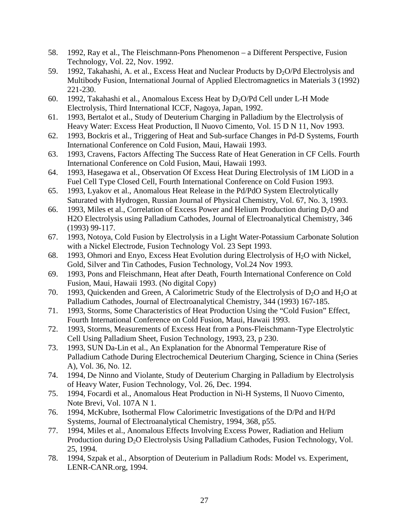- 58. 1992, Ray et al., The Fleischmann-Pons Phenomenon a Different Perspective, Fusion Technology, Vol. 22, Nov. 1992.
- 59. 1992, Takahashi, A. et al., Excess Heat and Nuclear Products by  $D_2O/Pd$  Electrolysis and Multibody Fusion, International Journal of Applied Electromagnetics in Materials 3 (1992) 221-230.
- 60. 1992, Takahashi et al., Anomalous Excess Heat by  $D_2O/Pd$  Cell under L-H Mode Electrolysis, Third International ICCF, Nagoya, Japan, 1992.
- 61. 1993, Bertalot et al., Study of Deuterium Charging in Palladium by the Electrolysis of Heavy Water: Excess Heat Production, Il Nuovo Cimento, Vol. 15 D N 11, Nov 1993.
- 62. 1993, Bockris et al., Triggering of Heat and Sub-surface Changes in Pd-D Systems, Fourth International Conference on Cold Fusion, Maui, Hawaii 1993.
- 63. 1993, Cravens, Factors Affecting The Success Rate of Heat Generation in CF Cells. Fourth International Conference on Cold Fusion, Maui, Hawaii 1993.
- 64. 1993, Hasegawa et al., Observation Of Excess Heat During Electrolysis of 1M LiOD in a Fuel Cell Type Closed Cell, Fourth International Conference on Cold Fusion 1993.
- 65. 1993, Lyakov et al., Anomalous Heat Release in the Pd/PdO System Electrolytically Saturated with Hydrogen, Russian Journal of Physical Chemistry, Vol. 67, No. 3, 1993.
- 66. 1993, Miles et al., Correlation of Excess Power and Helium Production during  $D_2O$  and H2O Electrolysis using Palladium Cathodes, Journal of Electroanalytical Chemistry, 346 (1993) 99-117.
- 67. 1993, Notoya, Cold Fusion by Electrolysis in a Light Water-Potassium Carbonate Solution with a Nickel Electrode, Fusion Technology Vol. 23 Sept 1993.
- 68. 1993, Ohmori and Enyo, Excess Heat Evolution during Electrolysis of  $H_2O$  with Nickel, Gold, Silver and Tin Cathodes, Fusion Technology, Vol.24 Nov 1993.
- 69. 1993, Pons and Fleischmann, Heat after Death, Fourth International Conference on Cold Fusion, Maui, Hawaii 1993. (No digital Copy)
- 70. 1993, Quickenden and Green, A Calorimetric Study of the Electrolysis of  $D_2O$  and  $H_2O$  at Palladium Cathodes, Journal of Electroanalytical Chemistry, 344 (1993) 167-185.
- 71. 1993, Storms, Some Characteristics of Heat Production Using the "Cold Fusion" Effect, Fourth International Conference on Cold Fusion, Maui, Hawaii 1993.
- 72. 1993, Storms, Measurements of Excess Heat from a Pons-Fleischmann-Type Electrolytic Cell Using Palladium Sheet, Fusion Technology, 1993, 23, p 230.
- 73. 1993, SUN Da-Lin et al., An Explanation for the Abnormal Temperature Rise of Palladium Cathode During Electrochemical Deuterium Charging, Science in China (Series A), Vol. 36, No. 12.
- 74. 1994, De Ninno and Violante, Study of Deuterium Charging in Palladium by Electrolysis of Heavy Water, Fusion Technology, Vol. 26, Dec. 1994.
- 75. 1994, Focardi et al., Anomalous Heat Production in Ni-H Systems, Il Nuovo Cimento, Note Brevi, Vol. 107A N 1.
- 76. 1994, McKubre, Isothermal Flow Calorimetric Investigations of the D/Pd and H/Pd Systems, Journal of Electroanalytical Chemistry, 1994, 368, p55.
- 77. 1994, Miles et al., Anomalous Effects Involving Excess Power, Radiation and Helium Production during D<sub>2</sub>O Electrolysis Using Palladium Cathodes, Fusion Technology, Vol. 25, 1994.
- 78. 1994, Szpak et al., Absorption of Deuterium in Palladium Rods: Model vs. Experiment, LENR-CANR.org, 1994.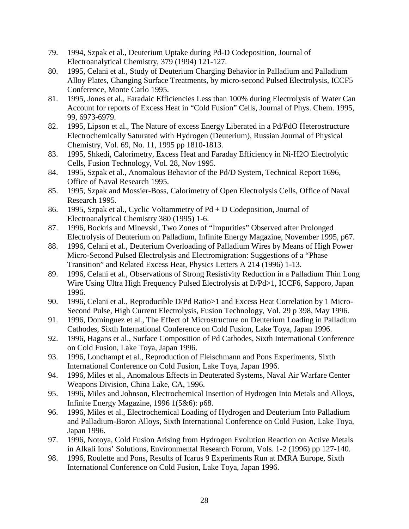- 79. 1994, Szpak et al., Deuterium Uptake during Pd-D Codeposition, Journal of Electroanalytical Chemistry, 379 (1994) 121-127.
- 80. 1995, Celani et al., Study of Deuterium Charging Behavior in Palladium and Palladium Alloy Plates, Changing Surface Treatments, by micro-second Pulsed Electrolysis, ICCF5 Conference, Monte Carlo 1995.
- 81. 1995, Jones et al., Faradaic Efficiencies Less than 100% during Electrolysis of Water Can Account for reports of Excess Heat in "Cold Fusion" Cells, Journal of Phys. Chem. 1995, 99, 6973-6979.
- 82. 1995, Lipson et al., The Nature of excess Energy Liberated in a Pd/PdO Heterostructure Electrochemically Saturated with Hydrogen (Deuterium), Russian Journal of Physical Chemistry, Vol. 69, No. 11, 1995 pp 1810-1813.
- 83. 1995, Shkedi, Calorimetry, Excess Heat and Faraday Efficiency in Ni-H2O Electrolytic Cells, Fusion Technology, Vol. 28, Nov 1995.
- 84. 1995, Szpak et al., Anomalous Behavior of the Pd/D System, Technical Report 1696, Office of Naval Research 1995.
- 85. 1995, Szpak and Mossier-Boss, Calorimetry of Open Electrolysis Cells, Office of Naval Research 1995.
- 86. 1995, Szpak et al., Cyclic Voltammetry of Pd + D Codeposition, Journal of Electroanalytical Chemistry 380 (1995) 1-6.
- 87. 1996, Bockris and Minevski, Two Zones of "Impurities" Observed after Prolonged Electrolysis of Deuterium on Palladium, Infinite Energy Magazine, November 1995, p67.
- 88. 1996, Celani et al., Deuterium Overloading of Palladium Wires by Means of High Power Micro-Second Pulsed Electrolysis and Electromigration: Suggestions of a "Phase Transition" and Related Excess Heat, Physics Letters A 214 (1996) 1-13.
- 89. 1996, Celani et al., Observations of Strong Resistivity Reduction in a Palladium Thin Long Wire Using Ultra High Frequency Pulsed Electrolysis at D/Pd>1, ICCF6, Sapporo, Japan 1996.
- 90. 1996, Celani et al., Reproducible D/Pd Ratio>1 and Excess Heat Correlation by 1 Micro-Second Pulse, High Current Electrolysis, Fusion Technology, Vol. 29 p 398, May 1996.
- 91. 1996, Dominguez et al., The Effect of Microstructure on Deuterium Loading in Palladium Cathodes, Sixth International Conference on Cold Fusion, Lake Toya, Japan 1996.
- 92. 1996, Hagans et al., Surface Composition of Pd Cathodes, Sixth International Conference on Cold Fusion, Lake Toya, Japan 1996.
- 93. 1996, Lonchampt et al., Reproduction of Fleischmann and Pons Experiments, Sixth International Conference on Cold Fusion, Lake Toya, Japan 1996.
- 94. 1996, Miles et al., Anomalous Effects in Deuterated Systems, Naval Air Warfare Center Weapons Division, China Lake, CA, 1996.
- 95. 1996, Miles and Johnson, Electrochemical Insertion of Hydrogen Into Metals and Alloys, Infinite Energy Magazine, 1996 1(5&6): p68.
- 96. 1996, Miles et al., Electrochemical Loading of Hydrogen and Deuterium Into Palladium and Palladium-Boron Alloys, Sixth International Conference on Cold Fusion, Lake Toya, Japan 1996.
- 97. 1996, Notoya, Cold Fusion Arising from Hydrogen Evolution Reaction on Active Metals in Alkali Ions' Solutions, Environmental Research Forum, Vols. 1-2 (1996) pp 127-140.
- 98. 1996, Roulette and Pons, Results of Icarus 9 Experiments Run at IMRA Europe, Sixth International Conference on Cold Fusion, Lake Toya, Japan 1996.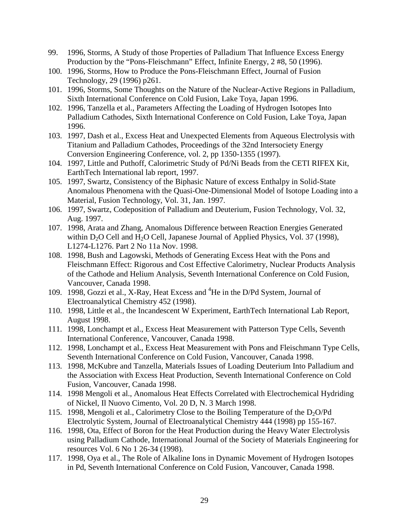- 99. 1996, Storms, A Study of those Properties of Palladium That Influence Excess Energy Production by the "Pons-Fleischmann" Effect, Infinite Energy, 2 #8, 50 (1996).
- 100. 1996, Storms, How to Produce the Pons-Fleischmann Effect, Journal of Fusion Technology, 29 (1996) p261.
- 101. 1996, Storms, Some Thoughts on the Nature of the Nuclear-Active Regions in Palladium, Sixth International Conference on Cold Fusion, Lake Toya, Japan 1996.
- 102. 1996, Tanzella et al., Parameters Affecting the Loading of Hydrogen Isotopes Into Palladium Cathodes, Sixth International Conference on Cold Fusion, Lake Toya, Japan 1996.
- 103. 1997, Dash et al., Excess Heat and Unexpected Elements from Aqueous Electrolysis with Titanium and Palladium Cathodes, Proceedings of the 32nd Intersociety Energy Conversion Engineering Conference, vol. 2, pp 1350-1355 (1997).
- 104. 1997, Little and Puthoff, Calorimetric Study of Pd/Ni Beads from the CETI RIFEX Kit, EarthTech International lab report, 1997.
- 105. 1997, Swartz, Consistency of the Biphasic Nature of excess Enthalpy in Solid-State Anomalous Phenomena with the Quasi-One-Dimensional Model of Isotope Loading into a Material, Fusion Technology, Vol. 31, Jan. 1997.
- 106. 1997, Swartz, Codeposition of Palladium and Deuterium, Fusion Technology, Vol. 32, Aug. 1997.
- 107. 1998, Arata and Zhang, Anomalous Difference between Reaction Energies Generated within  $D_2O$  Cell and  $H_2O$  Cell, Japanese Journal of Applied Physics, Vol. 37 (1998), L1274-L1276. Part 2 No 11a Nov. 1998.
- 108. 1998, Bush and Lagowski, Methods of Generating Excess Heat with the Pons and Fleischmann Effect: Rigorous and Cost Effective Calorimetry, Nuclear Products Analysis of the Cathode and Helium Analysis, Seventh International Conference on Cold Fusion, Vancouver, Canada 1998.
- 109. 1998, Gozzi et al., X-Ray, Heat Excess and <sup>4</sup>He in the D/Pd System, Journal of Electroanalytical Chemistry 452 (1998).
- 110. 1998, Little et al., the Incandescent W Experiment, EarthTech International Lab Report, August 1998.
- 111. 1998, Lonchampt et al., Excess Heat Measurement with Patterson Type Cells, Seventh International Conference, Vancouver, Canada 1998.
- 112. 1998, Lonchampt et al., Excess Heat Measurement with Pons and Fleischmann Type Cells, Seventh International Conference on Cold Fusion, Vancouver, Canada 1998.
- 113. 1998, McKubre and Tanzella, Materials Issues of Loading Deuterium Into Palladium and the Association with Excess Heat Production, Seventh International Conference on Cold Fusion, Vancouver, Canada 1998.
- 114. 1998 Mengoli et al., Anomalous Heat Effects Correlated with Electrochemical Hydriding of Nickel, Il Nuovo Cimento, Vol. 20 D, N. 3 March 1998.
- 115. 1998, Mengoli et al., Calorimetry Close to the Boiling Temperature of the  $D_2O/Pd$ Electrolytic System, Journal of Electroanalytical Chemistry 444 (1998) pp 155-167.
- 116. 1998, Ota, Effect of Boron for the Heat Production during the Heavy Water Electrolysis using Palladium Cathode, International Journal of the Society of Materials Engineering for resources Vol. 6 No 1 26-34 (1998).
- 117. 1998, Oya et al., The Role of Alkaline Ions in Dynamic Movement of Hydrogen Isotopes in Pd, Seventh International Conference on Cold Fusion, Vancouver, Canada 1998.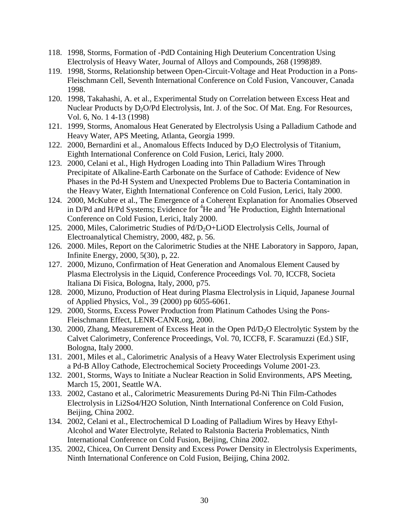- 118. 1998, Storms, Formation of -PdD Containing High Deuterium Concentration Using Electrolysis of Heavy Water, Journal of Alloys and Compounds, 268 (1998)89.
- 119. 1998, Storms, Relationship between Open-Circuit-Voltage and Heat Production in a Pons-Fleischmann Cell, Seventh International Conference on Cold Fusion, Vancouver, Canada 1998.
- 120. 1998, Takahashi, A. et al., Experimental Study on Correlation between Excess Heat and Nuclear Products by  $D_2O/Pd$  Electrolysis, Int. J. of the Soc. Of Mat. Eng. For Resources, Vol. 6, No. 1 4-13 (1998)
- 121. 1999, Storms, Anomalous Heat Generated by Electrolysis Using a Palladium Cathode and Heavy Water, APS Meeting, Atlanta, Georgia 1999.
- 122. 2000, Bernardini et al., Anomalous Effects Induced by  $D_2O$  Electrolysis of Titanium, Eighth International Conference on Cold Fusion, Lerici, Italy 2000.
- 123. 2000, Celani et al., High Hydrogen Loading into Thin Palladium Wires Through Precipitate of Alkaline-Earth Carbonate on the Surface of Cathode: Evidence of New Phases in the Pd-H System and Unexpected Problems Due to Bacteria Contamination in the Heavy Water, Eighth International Conference on Cold Fusion, Lerici, Italy 2000.
- 124. 2000, McKubre et al., The Emergence of a Coherent Explanation for Anomalies Observed in D/Pd and H/Pd Systems; Evidence for  ${}^{4}$ He and  ${}^{3}$ He Production, Eighth International Conference on Cold Fusion, Lerici, Italy 2000.
- 125. 2000, Miles, Calorimetric Studies of Pd/D2O+LiOD Electrolysis Cells, Journal of Electroanalytical Chemistry, 2000, 482, p. 56.
- 126. 2000. Miles, Report on the Calorimetric Studies at the NHE Laboratory in Sapporo, Japan, Infinite Energy, 2000, 5(30), p, 22.
- 127. 2000, Mizuno, Confirmation of Heat Generation and Anomalous Element Caused by Plasma Electrolysis in the Liquid, Conference Proceedings Vol. 70, ICCF8, Societa Italiana Di Fisica, Bologna, Italy, 2000, p75.
- 128. 2000, Mizuno, Production of Heat during Plasma Electrolysis in Liquid, Japanese Journal of Applied Physics, Vol., 39 (2000) pp 6055-6061.
- 129. 2000, Storms, Excess Power Production from Platinum Cathodes Using the Pons-Fleischmann Effect, LENR-CANR.org, 2000.
- 130. 2000, Zhang, Measurement of Excess Heat in the Open Pd/D2O Electrolytic System by the Calvet Calorimetry, Conference Proceedings, Vol. 70, ICCF8, F. Scaramuzzi (Ed.) SIF, Bologna, Italy 2000.
- 131. 2001, Miles et al., Calorimetric Analysis of a Heavy Water Electrolysis Experiment using a Pd-B Alloy Cathode, Electrochemical Society Proceedings Volume 2001-23.
- 132. 2001, Storms, Ways to Initiate a Nuclear Reaction in Solid Environments, APS Meeting, March 15, 2001, Seattle WA.
- 133. 2002, Castano et al., Calorimetric Measurements During Pd-Ni Thin Film-Cathodes Electrolysis in Li2So4/H2O Solution, Ninth International Conference on Cold Fusion, Beijing, China 2002.
- 134. 2002, Celani et al., Electrochemical D Loading of Palladium Wires by Heavy Ethyl-Alcohol and Water Electrolyte, Related to Ralstonia Bacteria Problematics, Ninth International Conference on Cold Fusion, Beijing, China 2002.
- 135. 2002, Chicea, On Current Density and Excess Power Density in Electrolysis Experiments, Ninth International Conference on Cold Fusion, Beijing, China 2002.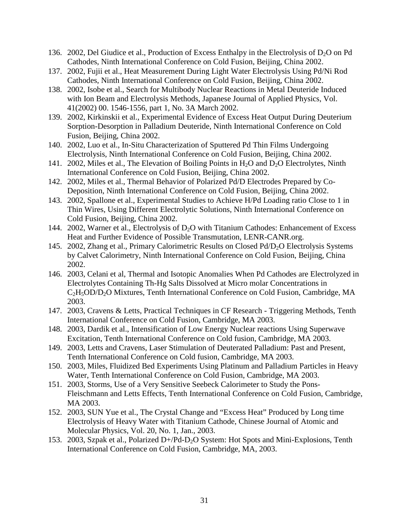- 136. 2002, Del Giudice et al., Production of Excess Enthalpy in the Electrolysis of  $D_2O$  on Pd Cathodes, Ninth International Conference on Cold Fusion, Beijing, China 2002.
- 137. 2002, Fujii et al., Heat Measurement During Light Water Electrolysis Using Pd/Ni Rod Cathodes, Ninth International Conference on Cold Fusion, Beijing, China 2002.
- 138. 2002, Isobe et al., Search for Multibody Nuclear Reactions in Metal Deuteride Induced with Ion Beam and Electrolysis Methods, Japanese Journal of Applied Physics, Vol. 41(2002) 00. 1546-1556, part 1, No. 3A March 2002.
- 139. 2002, Kirkinskii et al., Experimental Evidence of Excess Heat Output During Deuterium Sorption-Desorption in Palladium Deuteride, Ninth International Conference on Cold Fusion, Beijing, China 2002.
- 140. 2002, Luo et al., In-Situ Characterization of Sputtered Pd Thin Films Undergoing Electrolysis, Ninth International Conference on Cold Fusion, Beijing, China 2002.
- 141. 2002, Miles et al., The Elevation of Boiling Points in  $H_2O$  and  $D_2O$  Electrolytes, Ninth International Conference on Cold Fusion, Beijing, China 2002.
- 142. 2002, Miles et al., Thermal Behavior of Polarized Pd/D Electrodes Prepared by Co-Deposition, Ninth International Conference on Cold Fusion, Beijing, China 2002.
- 143. 2002, Spallone et al., Experimental Studies to Achieve H/Pd Loading ratio Close to 1 in Thin Wires, Using Different Electrolytic Solutions, Ninth International Conference on Cold Fusion, Beijing, China 2002.
- 144. 2002, Warner et al., Electrolysis of  $D_2O$  with Titanium Cathodes: Enhancement of Excess Heat and Further Evidence of Possible Transmutation, LENR-CANR.org.
- 145. 2002, Zhang et al., Primary Calorimetric Results on Closed Pd/D<sub>2</sub>O Electrolysis Systems by Calvet Calorimetry, Ninth International Conference on Cold Fusion, Beijing, China 2002.
- 146. 2003, Celani et al, Thermal and Isotopic Anomalies When Pd Cathodes are Electrolyzed in Electrolytes Containing Th-Hg Salts Dissolved at Micro molar Concentrations in C2H5OD/D2O Mixtures, Tenth International Conference on Cold Fusion, Cambridge, MA 2003.
- 147. 2003, Cravens & Letts, Practical Techniques in CF Research Triggering Methods, Tenth International Conference on Cold Fusion, Cambridge, MA 2003.
- 148. 2003, Dardik et al., Intensification of Low Energy Nuclear reactions Using Superwave Excitation, Tenth International Conference on Cold fusion, Cambridge, MA 2003.
- 149. 2003, Letts and Cravens, Laser Stimulation of Deuterated Palladium: Past and Present, Tenth International Conference on Cold fusion, Cambridge, MA 2003.
- 150. 2003, Miles, Fluidized Bed Experiments Using Platinum and Palladium Particles in Heavy Water, Tenth International Conference on Cold Fusion, Cambridge, MA 2003.
- 151. 2003, Storms, Use of a Very Sensitive Seebeck Calorimeter to Study the Pons-Fleischmann and Letts Effects, Tenth International Conference on Cold Fusion, Cambridge, MA 2003.
- 152. 2003, SUN Yue et al., The Crystal Change and "Excess Heat" Produced by Long time Electrolysis of Heavy Water with Titanium Cathode, Chinese Journal of Atomic and Molecular Physics, Vol. 20, No. 1, Jan., 2003.
- 153. 2003, Szpak et al., Polarized D+/Pd-D<sub>2</sub>O System: Hot Spots and Mini-Explosions, Tenth International Conference on Cold Fusion, Cambridge, MA, 2003.